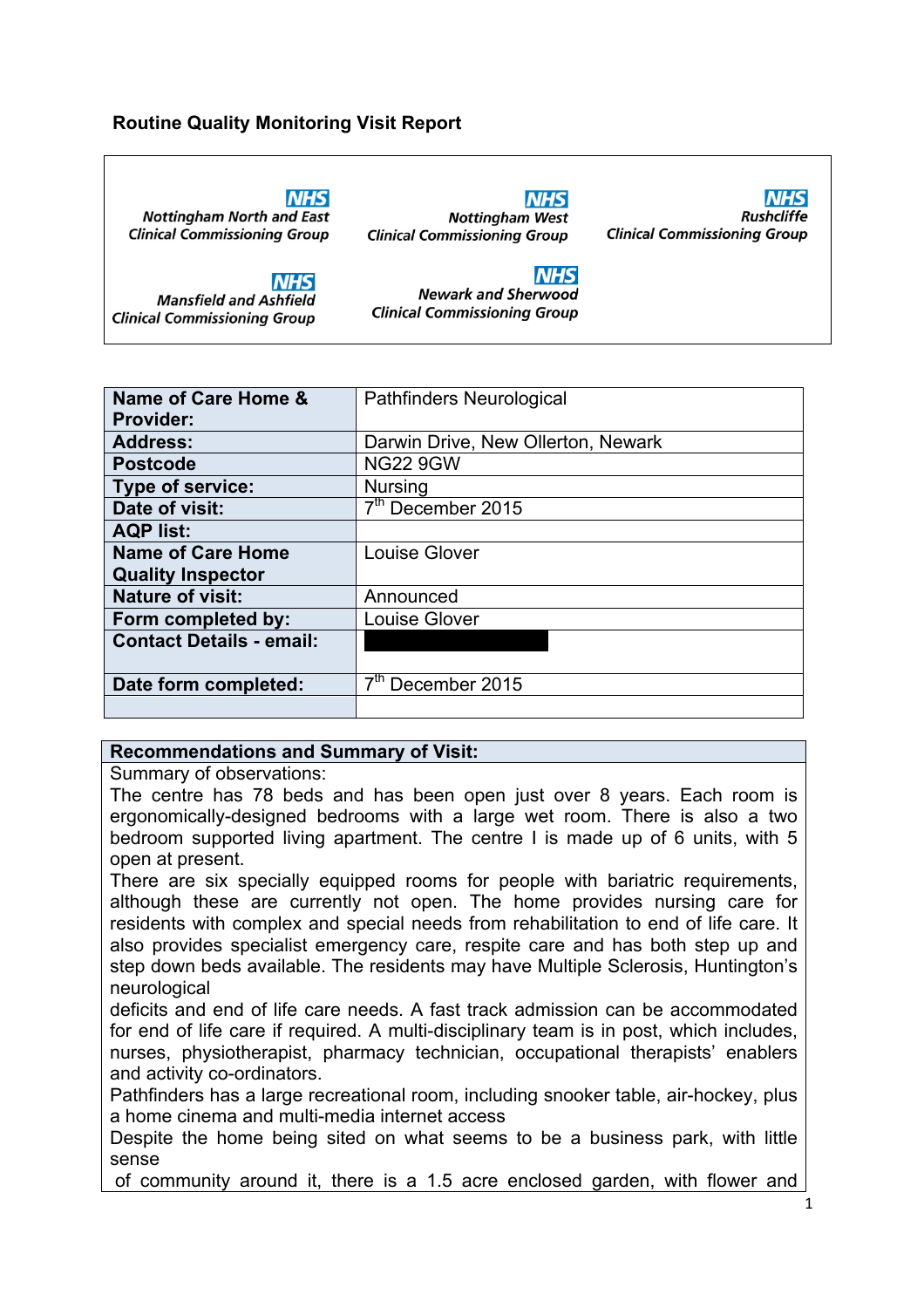#### **Routine Quality Monitoring Visit Report**

**NHS** 

**NHS Nottingham North and East Clinical Commissioning Group** 

**Mansfield and Ashfield** 

**Clinical Commissioning Group** 

**NHS Nottingham West Clinical Commissioning Group** 

**NHS Rushcliffe Clinical Commissioning Group** 

**NHS** 

**Newark and Sherwood Clinical Commissioning Group** 

| Name of Care Home &             | <b>Pathfinders Neurological</b>    |
|---------------------------------|------------------------------------|
| <b>Provider:</b>                |                                    |
| <b>Address:</b>                 | Darwin Drive, New Ollerton, Newark |
| <b>Postcode</b>                 | <b>NG22 9GW</b>                    |
| Type of service:                | <b>Nursing</b>                     |
| Date of visit:                  | $\overline{7^{th}}$ December 2015  |
| <b>AQP list:</b>                |                                    |
| <b>Name of Care Home</b>        | Louise Glover                      |
| <b>Quality Inspector</b>        |                                    |
| <b>Nature of visit:</b>         | Announced                          |
| Form completed by:              | <b>Louise Glover</b>               |
| <b>Contact Details - email:</b> |                                    |
|                                 |                                    |
| Date form completed:            | 7 <sup>th</sup> December 2015      |
|                                 |                                    |

#### **Recommendations and Summary of Visit:**

Summary of observations:

The centre has 78 beds and has been open just over 8 years. Each room is ergonomically-designed bedrooms with a large wet room. There is also a two bedroom supported living apartment. The centre I is made up of 6 units, with 5 open at present.

There are six specially equipped rooms for people with bariatric requirements, although these are currently not open. The home provides nursing care for residents with complex and special needs from rehabilitation to end of life care. It also provides specialist emergency care, respite care and has both step up and step down beds available. The residents may have Multiple Sclerosis, Huntington's neurological

deficits and end of life care needs. A fast track admission can be accommodated for end of life care if required. A multi-disciplinary team is in post, which includes, nurses, physiotherapist, pharmacy technician, occupational therapists' enablers and activity co-ordinators.

Pathfinders has a large recreational room, including snooker table, air-hockey, plus a home cinema and multi-media internet access

Despite the home being sited on what seems to be a business park, with little sense

of community around it, there is a 1.5 acre enclosed garden, with flower and

1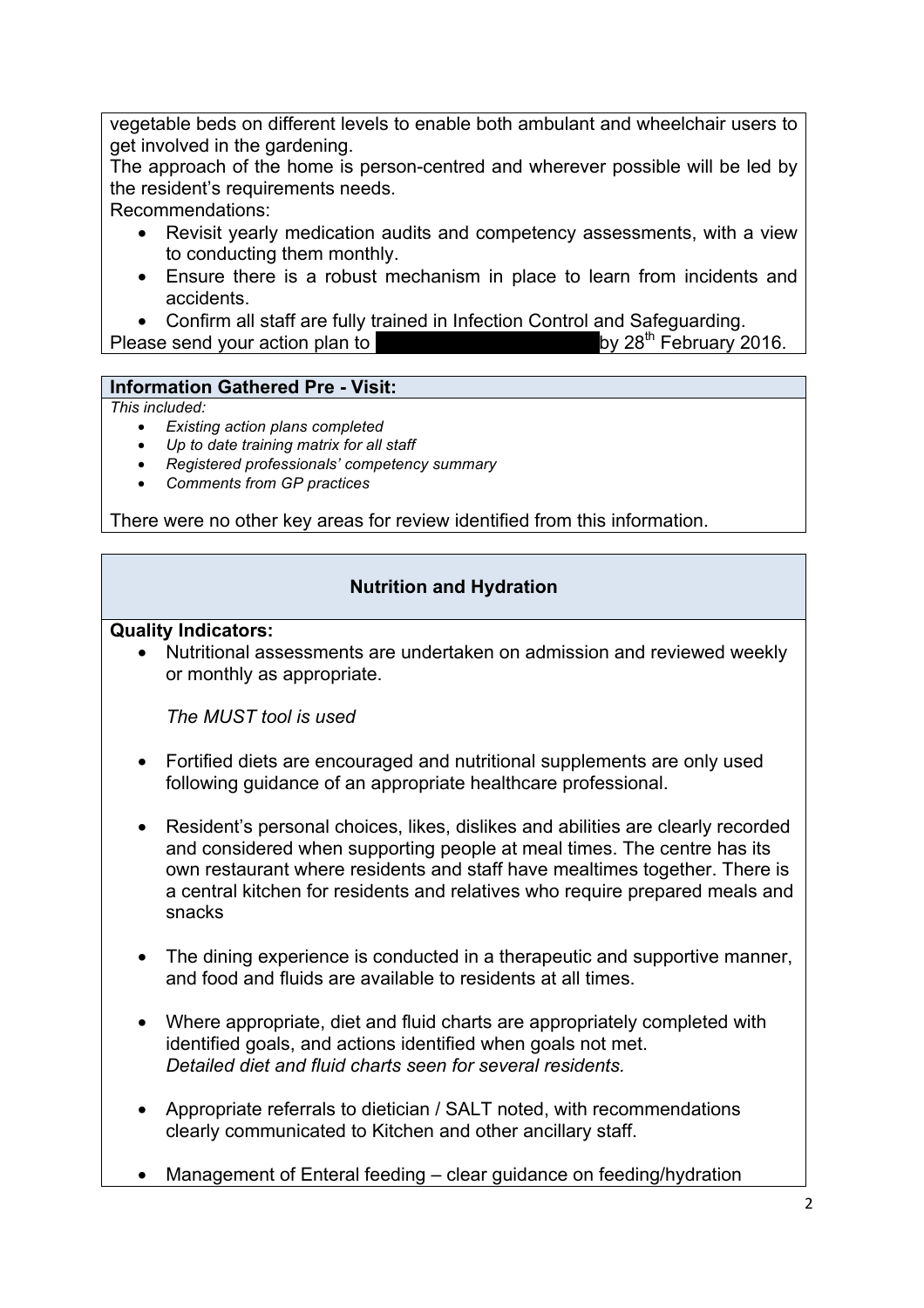vegetable beds on different levels to enable both ambulant and wheelchair users to get involved in the gardening.

The approach of the home is person-centred and wherever possible will be led by the resident's requirements needs.

Recommendations:

- Revisit yearly medication audits and competency assessments, with a view to conducting them monthly.
- Ensure there is a robust mechanism in place to learn from incidents and accidents.
- 

• Confirm all staff are fully trained in Infection Control and Safeguarding.<br>ase send your action plan to  $\blacksquare$ Please send your action plan to

## **Information Gathered Pre - Visit:**

#### *This included:*

- *Existing action plans completed*
- *Up to date training matrix for all staff*
- *Registered professionals' competency summary*
- *Comments from GP practices*

There were no other key areas for review identified from this information.

## **Nutrition and Hydration**

#### **Quality Indicators:**

• Nutritional assessments are undertaken on admission and reviewed weekly or monthly as appropriate.

*The MUST tool is used*

- Fortified diets are encouraged and nutritional supplements are only used following guidance of an appropriate healthcare professional.
- Resident's personal choices, likes, dislikes and abilities are clearly recorded and considered when supporting people at meal times. The centre has its own restaurant where residents and staff have mealtimes together. There is a central kitchen for residents and relatives who require prepared meals and snacks
- The dining experience is conducted in a therapeutic and supportive manner, and food and fluids are available to residents at all times.
- Where appropriate, diet and fluid charts are appropriately completed with identified goals, and actions identified when goals not met. *Detailed diet and fluid charts seen for several residents.*
- Appropriate referrals to dietician / SALT noted, with recommendations clearly communicated to Kitchen and other ancillary staff.
- Management of Enteral feeding clear guidance on feeding/hydration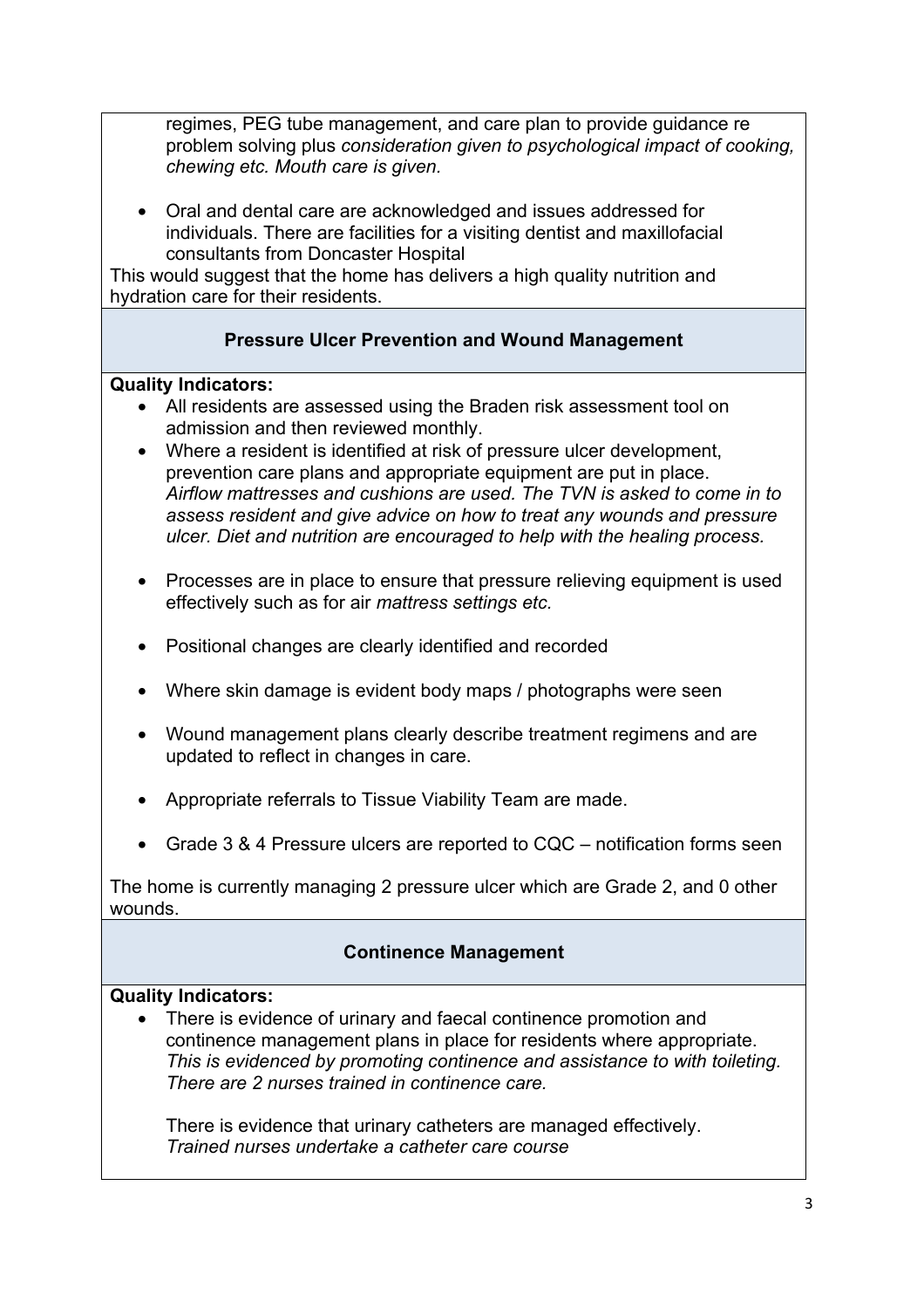regimes, PEG tube management, and care plan to provide guidance re problem solving plus *consideration given to psychological impact of cooking, chewing etc. Mouth care is given.*

• Oral and dental care are acknowledged and issues addressed for individuals. There are facilities for a visiting dentist and maxillofacial consultants from Doncaster Hospital

This would suggest that the home has delivers a high quality nutrition and hydration care for their residents.

# **Pressure Ulcer Prevention and Wound Management**

## **Quality Indicators:**

- All residents are assessed using the Braden risk assessment tool on admission and then reviewed monthly.
- Where a resident is identified at risk of pressure ulcer development, prevention care plans and appropriate equipment are put in place. *Airflow mattresses and cushions are used. The TVN is asked to come in to assess resident and give advice on how to treat any wounds and pressure ulcer. Diet and nutrition are encouraged to help with the healing process.*
- Processes are in place to ensure that pressure relieving equipment is used effectively such as for air *mattress settings etc.*
- Positional changes are clearly identified and recorded
- Where skin damage is evident body maps / photographs were seen
- Wound management plans clearly describe treatment regimens and are updated to reflect in changes in care.
- Appropriate referrals to Tissue Viability Team are made.
- Grade 3 & 4 Pressure ulcers are reported to CQC notification forms seen

The home is currently managing 2 pressure ulcer which are Grade 2, and 0 other wounds.

# **Continence Management**

## **Quality Indicators:**

• There is evidence of urinary and faecal continence promotion and continence management plans in place for residents where appropriate. *This is evidenced by promoting continence and assistance to with toileting. There are 2 nurses trained in continence care.*

There is evidence that urinary catheters are managed effectively. *Trained nurses undertake a catheter care course*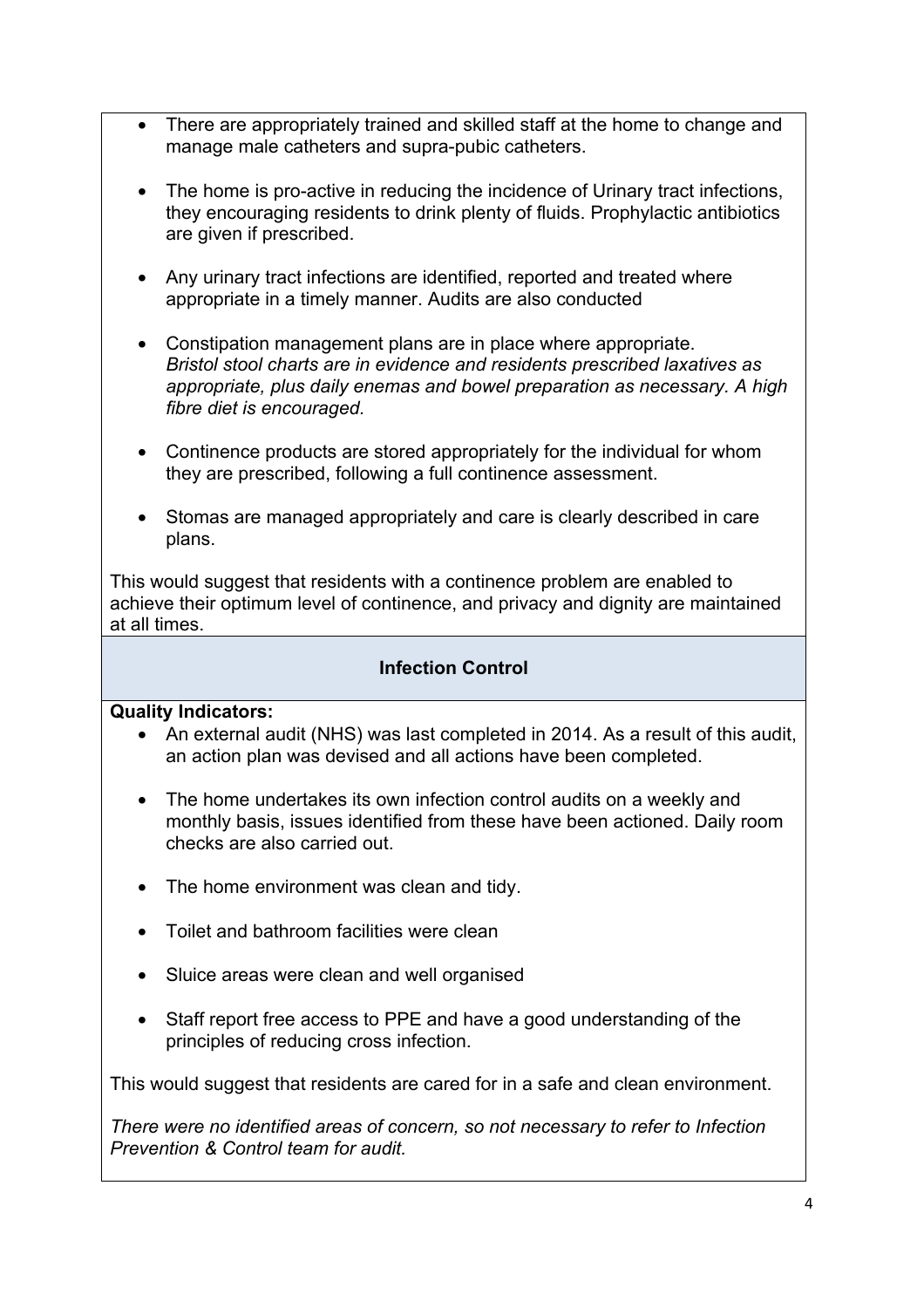- There are appropriately trained and skilled staff at the home to change and manage male catheters and supra-pubic catheters.
- The home is pro-active in reducing the incidence of Urinary tract infections, they encouraging residents to drink plenty of fluids. Prophylactic antibiotics are given if prescribed.
- Any urinary tract infections are identified, reported and treated where appropriate in a timely manner. Audits are also conducted
- Constipation management plans are in place where appropriate. *Bristol stool charts are in evidence and residents prescribed laxatives as appropriate, plus daily enemas and bowel preparation as necessary. A high fibre diet is encouraged.*
- Continence products are stored appropriately for the individual for whom they are prescribed, following a full continence assessment.
- Stomas are managed appropriately and care is clearly described in care plans.

This would suggest that residents with a continence problem are enabled to achieve their optimum level of continence, and privacy and dignity are maintained at all times.

# **Infection Control**

## **Quality Indicators:**

- An external audit (NHS) was last completed in 2014. As a result of this audit, an action plan was devised and all actions have been completed.
- The home undertakes its own infection control audits on a weekly and monthly basis, issues identified from these have been actioned. Daily room checks are also carried out.
- The home environment was clean and tidy.
- Toilet and bathroom facilities were clean
- Sluice areas were clean and well organised
- Staff report free access to PPE and have a good understanding of the principles of reducing cross infection.

This would suggest that residents are cared for in a safe and clean environment.

*There were no identified areas of concern, so not necessary to refer to Infection Prevention & Control team for audit.*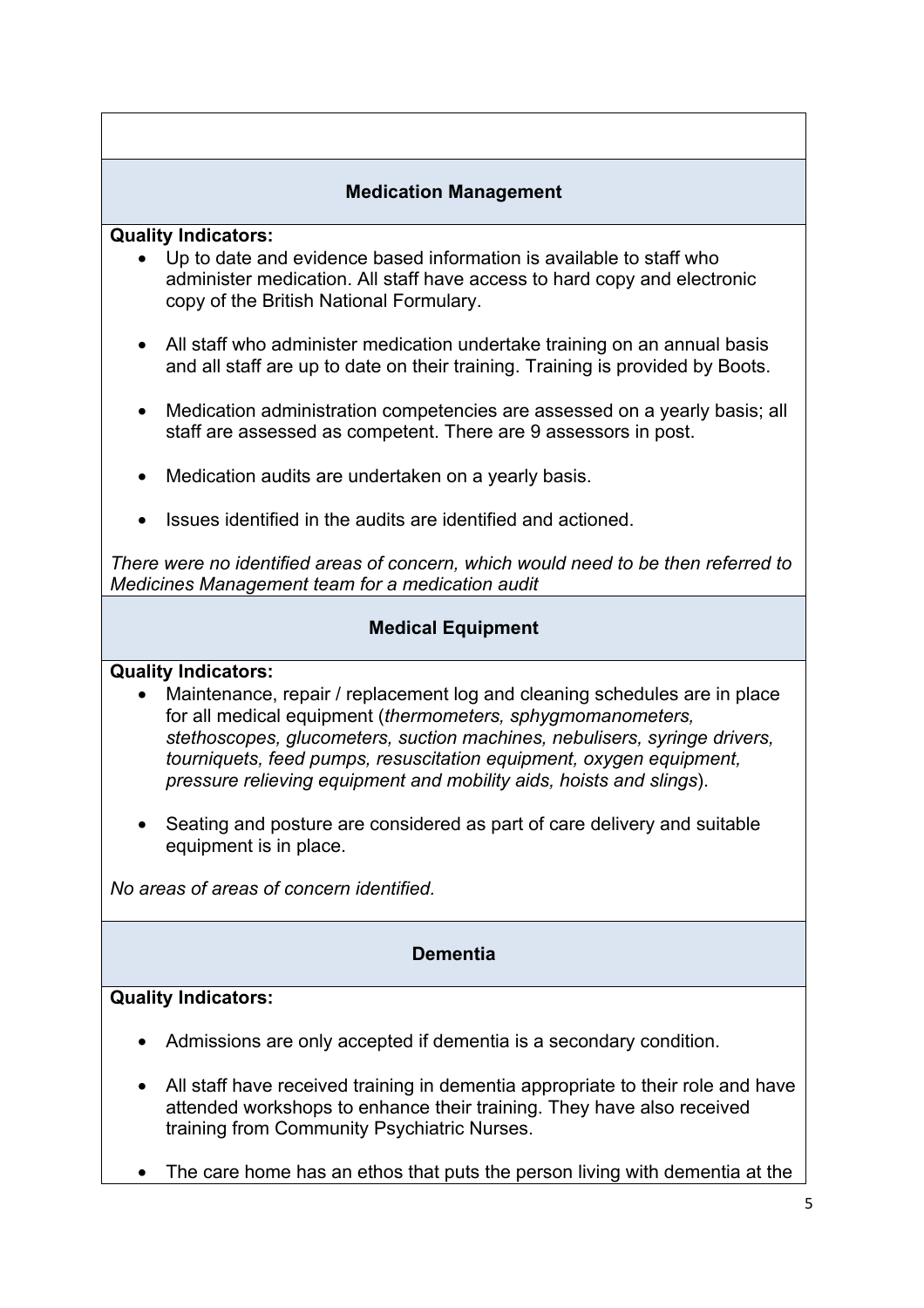## **Medication Management**

#### **Quality Indicators:**

- Up to date and evidence based information is available to staff who administer medication. All staff have access to hard copy and electronic copy of the British National Formulary.
- All staff who administer medication undertake training on an annual basis and all staff are up to date on their training. Training is provided by Boots.
- Medication administration competencies are assessed on a yearly basis; all staff are assessed as competent. There are 9 assessors in post.
- Medication audits are undertaken on a yearly basis.
- Issues identified in the audits are identified and actioned.

*There were no identified areas of concern, which would need to be then referred to Medicines Management team for a medication audit*

## **Medical Equipment**

## **Quality Indicators:**

- Maintenance, repair / replacement log and cleaning schedules are in place for all medical equipment (*thermometers, sphygmomanometers, stethoscopes, glucometers, suction machines, nebulisers, syringe drivers, tourniquets, feed pumps, resuscitation equipment, oxygen equipment, pressure relieving equipment and mobility aids, hoists and slings*).
- Seating and posture are considered as part of care delivery and suitable equipment is in place.

*No areas of areas of concern identified.*

## **Dementia**

## **Quality Indicators:**

- Admissions are only accepted if dementia is a secondary condition.
- All staff have received training in dementia appropriate to their role and have attended workshops to enhance their training. They have also received training from Community Psychiatric Nurses.
- The care home has an ethos that puts the person living with dementia at the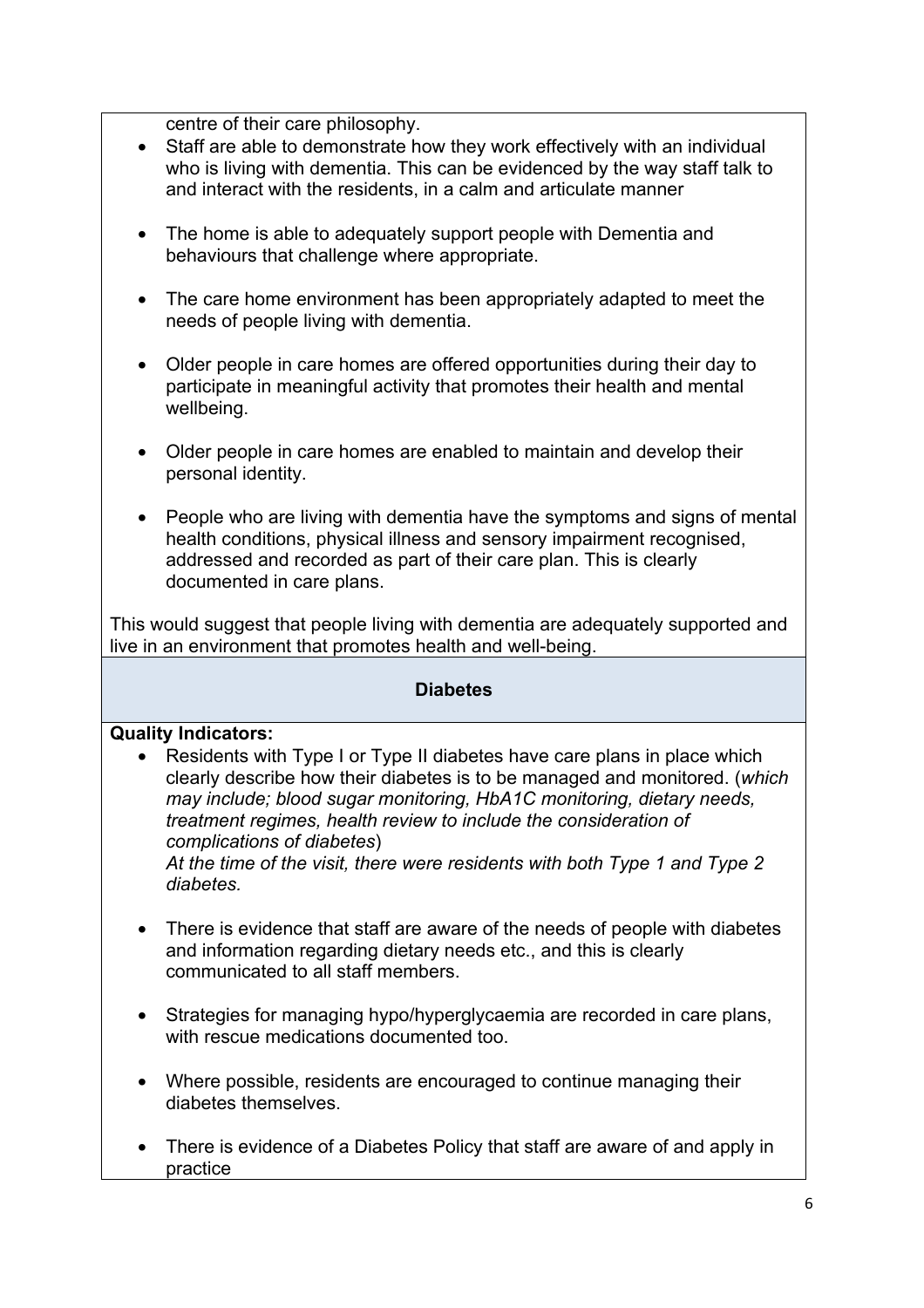centre of their care philosophy.

- Staff are able to demonstrate how they work effectively with an individual who is living with dementia. This can be evidenced by the way staff talk to and interact with the residents, in a calm and articulate manner
- The home is able to adequately support people with Dementia and behaviours that challenge where appropriate.
- The care home environment has been appropriately adapted to meet the needs of people living with dementia.
- Older people in care homes are offered opportunities during their day to participate in meaningful activity that promotes their health and mental wellbeing.
- Older people in care homes are enabled to maintain and develop their personal identity.
- People who are living with dementia have the symptoms and signs of mental health conditions, physical illness and sensory impairment recognised, addressed and recorded as part of their care plan. This is clearly documented in care plans.

This would suggest that people living with dementia are adequately supported and live in an environment that promotes health and well-being.

#### **Diabetes**

#### **Quality Indicators:**

• Residents with Type I or Type II diabetes have care plans in place which clearly describe how their diabetes is to be managed and monitored. (*which may include; blood sugar monitoring, HbA1C monitoring, dietary needs, treatment regimes, health review to include the consideration of complications of diabetes*)

*At the time of the visit, there were residents with both Type 1 and Type 2 diabetes.* 

- There is evidence that staff are aware of the needs of people with diabetes and information regarding dietary needs etc., and this is clearly communicated to all staff members.
- Strategies for managing hypo/hyperglycaemia are recorded in care plans, with rescue medications documented too.
- Where possible, residents are encouraged to continue managing their diabetes themselves.
- There is evidence of a Diabetes Policy that staff are aware of and apply in practice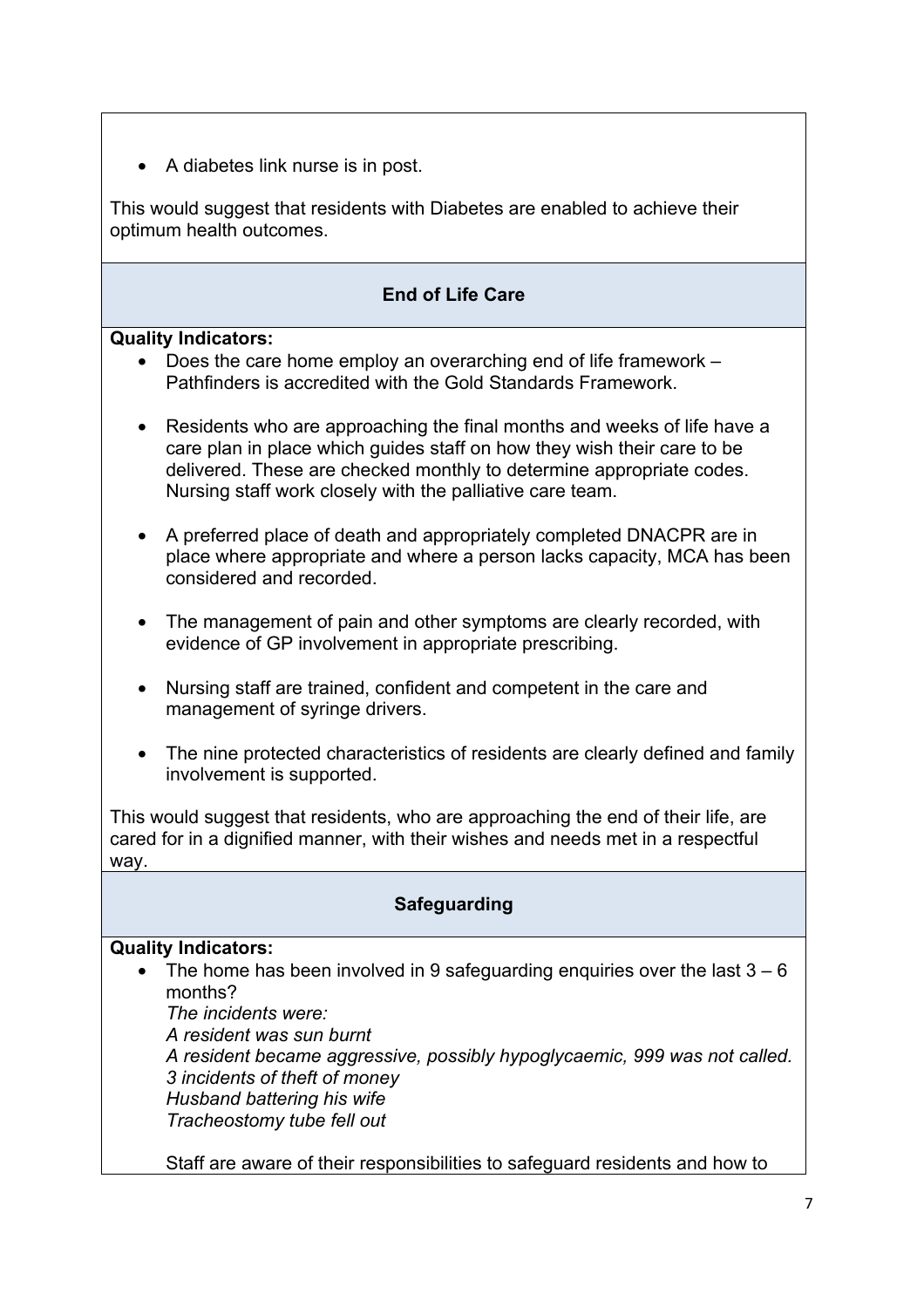• A diabetes link nurse is in post.

This would suggest that residents with Diabetes are enabled to achieve their optimum health outcomes.

# **End of Life Care**

#### **Quality Indicators:**

- Does the care home employ an overarching end of life framework Pathfinders is accredited with the Gold Standards Framework.
- Residents who are approaching the final months and weeks of life have a care plan in place which guides staff on how they wish their care to be delivered. These are checked monthly to determine appropriate codes. Nursing staff work closely with the palliative care team.
- A preferred place of death and appropriately completed DNACPR are in place where appropriate and where a person lacks capacity, MCA has been considered and recorded.
- The management of pain and other symptoms are clearly recorded, with evidence of GP involvement in appropriate prescribing.
- Nursing staff are trained, confident and competent in the care and management of syringe drivers.
- The nine protected characteristics of residents are clearly defined and family involvement is supported.

This would suggest that residents, who are approaching the end of their life, are cared for in a dignified manner, with their wishes and needs met in a respectful way.

# **Safeguarding**

## **Quality Indicators:**

• The home has been involved in 9 safeguarding enquiries over the last  $3 - 6$ months?

*The incidents were: A resident was sun burnt A resident became aggressive, possibly hypoglycaemic, 999 was not called. 3 incidents of theft of money Husband battering his wife Tracheostomy tube fell out*

Staff are aware of their responsibilities to safeguard residents and how to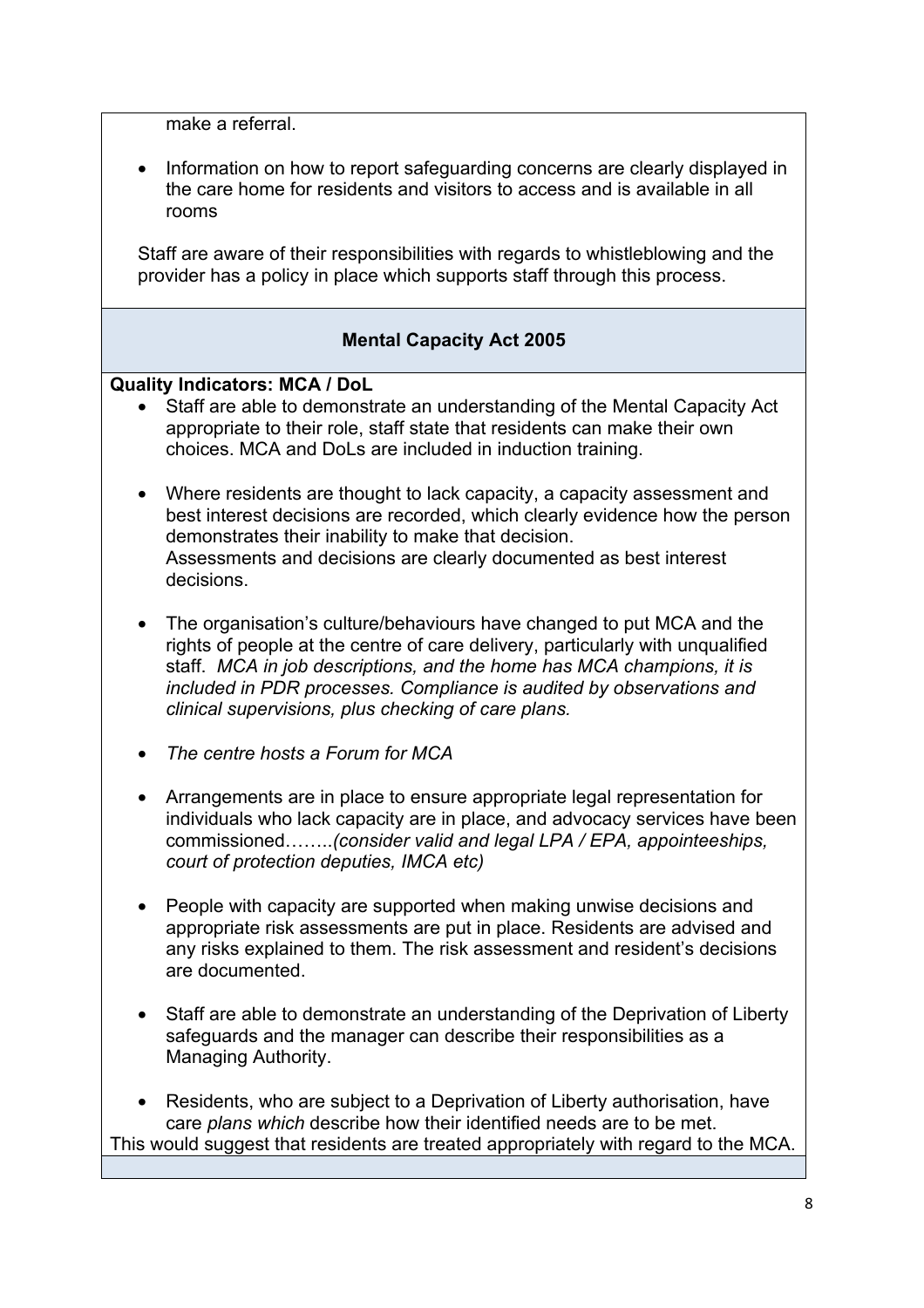make a referral.

• Information on how to report safeguarding concerns are clearly displayed in the care home for residents and visitors to access and is available in all rooms

Staff are aware of their responsibilities with regards to whistleblowing and the provider has a policy in place which supports staff through this process.

## **Mental Capacity Act 2005**

#### **Quality Indicators: MCA / DoL**

- Staff are able to demonstrate an understanding of the Mental Capacity Act appropriate to their role, staff state that residents can make their own choices. MCA and DoLs are included in induction training.
- Where residents are thought to lack capacity, a capacity assessment and best interest decisions are recorded, which clearly evidence how the person demonstrates their inability to make that decision. Assessments and decisions are clearly documented as best interest decisions.
- The organisation's culture/behaviours have changed to put MCA and the rights of people at the centre of care delivery, particularly with unqualified staff. *MCA in job descriptions, and the home has MCA champions, it is included in PDR processes. Compliance is audited by observations and clinical supervisions, plus checking of care plans.*
- *The centre hosts a Forum for MCA*
- Arrangements are in place to ensure appropriate legal representation for individuals who lack capacity are in place, and advocacy services have been commissioned……..*(consider valid and legal LPA / EPA, appointeeships, court of protection deputies, IMCA etc)*
- People with capacity are supported when making unwise decisions and appropriate risk assessments are put in place. Residents are advised and any risks explained to them. The risk assessment and resident's decisions are documented.
- Staff are able to demonstrate an understanding of the Deprivation of Liberty safeguards and the manager can describe their responsibilities as a Managing Authority.
- Residents, who are subject to a Deprivation of Liberty authorisation, have care *plans which* describe how their identified needs are to be met. This would suggest that residents are treated appropriately with regard to the MCA.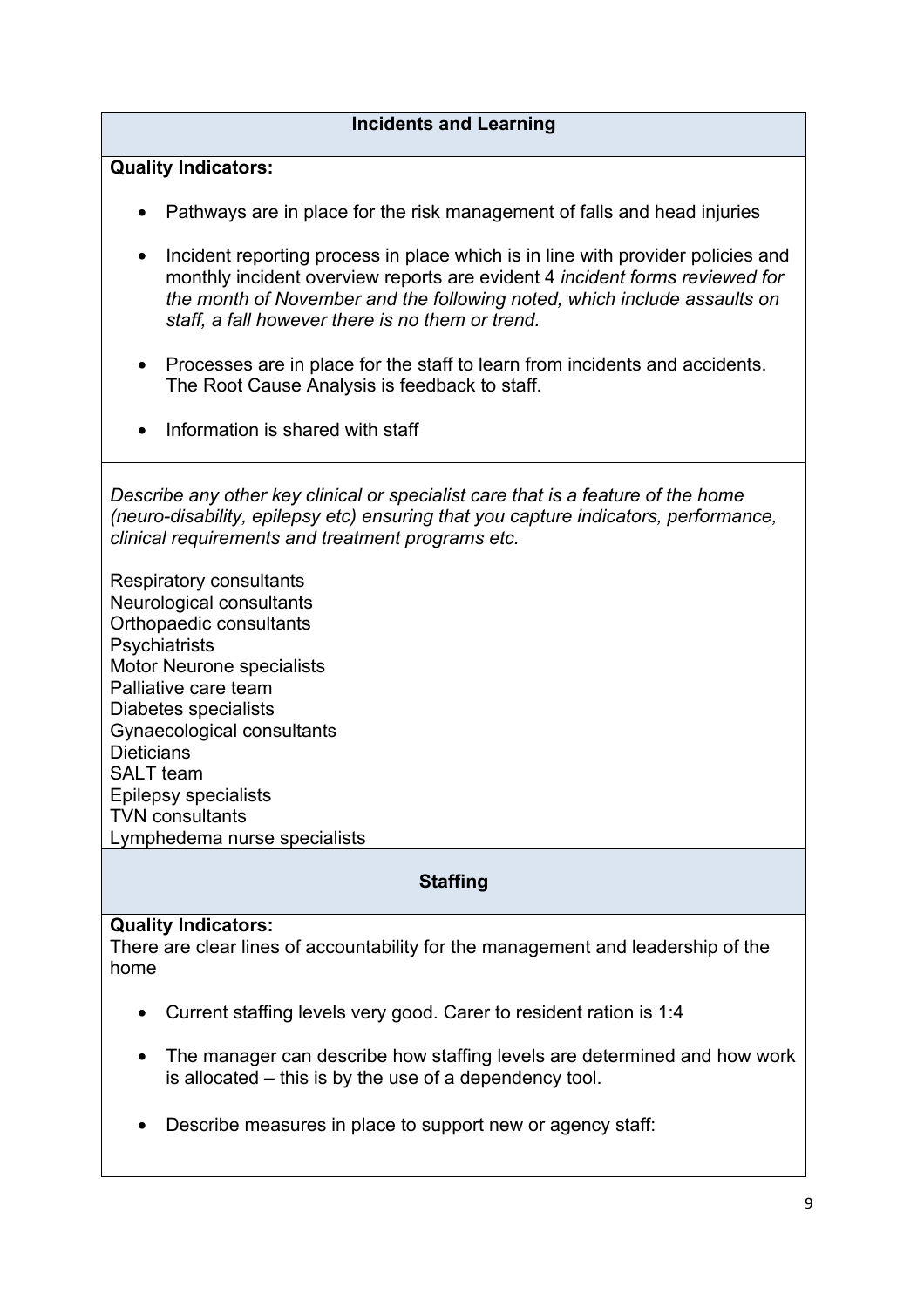## **Incidents and Learning**

### **Quality Indicators:**

- Pathways are in place for the risk management of falls and head injuries
- Incident reporting process in place which is in line with provider policies and monthly incident overview reports are evident 4 *incident forms reviewed for the month of November and the following noted, which include assaults on staff, a fall however there is no them or trend.*
- Processes are in place for the staff to learn from incidents and accidents. The Root Cause Analysis is feedback to staff.
- Information is shared with staff

*Describe any other key clinical or specialist care that is a feature of the home (neuro-disability, epilepsy etc) ensuring that you capture indicators, performance, clinical requirements and treatment programs etc.* 

Respiratory consultants Neurological consultants Orthopaedic consultants **Psychiatrists** Motor Neurone specialists Palliative care team Diabetes specialists Gynaecological consultants **Dieticians** SALT team Epilepsy specialists TVN consultants Lymphedema nurse specialists

## **Staffing**

#### **Quality Indicators:**

There are clear lines of accountability for the management and leadership of the home

- Current staffing levels very good. Carer to resident ration is 1:4
- The manager can describe how staffing levels are determined and how work is allocated – this is by the use of a dependency tool.
- Describe measures in place to support new or agency staff: